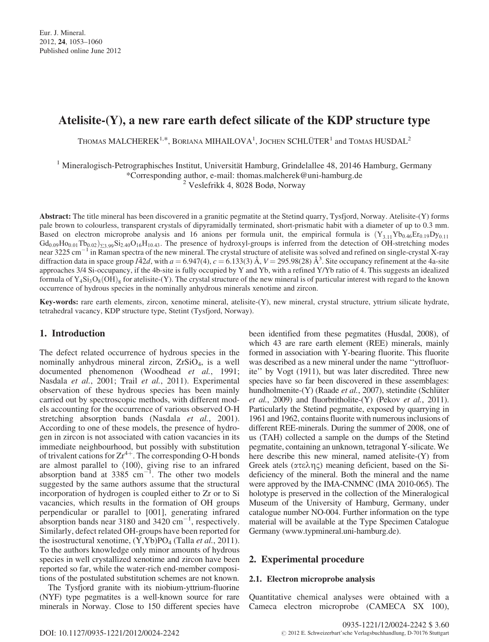# Atelisite-(Y), a new rare earth defect silicate of the KDP structure type

THOMAS  $\mathrm{MALCHEREK}^{1,*}, \mathrm{Borkana~MHALOVA}^1, \mathrm{Jochen~SCHLÜTER}^1$  and TOMAS  $\mathrm{HUSDAL}^2$ 

 $1$  Mineralogisch-Petrographisches Institut, Universität Hamburg, Grindelallee 48, 20146 Hamburg, Germany \*Corresponding author, e-mail: thomas.malcherek@uni-hamburg.de

<sup>2</sup> Veslefrikk 4, 8028 Bodø, Norway

Abstract: The title mineral has been discovered in a granitic pegmatite at the Stetind quarry, Tysfjord, Norway. Atelisite-(Y) forms pale brown to colourless, transparent crystals of dipyramidally terminated, short-prismatic habit with a diameter of up to 0.3 mm. Based on electron microprobe analysis and 16 anions per formula unit, the empirical formula is  $(Y_{3,11}Yb_{0.46}Er_{0.19}Dy_{0.11}$  $Gd_{0.09}H_{0,0.01}Tb_{0.02}$ <sub> $\Sigma_{3.99}Si_{2.40}O_{16}H_{10.43}$ . The presence of hydroxyl-groups is inferred from the detection of OH-stretching modes</sub> near 3225 cm<sup>-1</sup> in Raman spectra of the new mineral. The crystal structure of atelisite was solved and refined on single-crystal X-ray diffraction data in space group  $I\bar{4}2d$ , with  $a = 6.947(4)$ ,  $c = 6.133(3)$  Å,  $V = 295.98(28)$  Å<sup>3</sup>. Site occupancy refinement at the 4a-site approaches 3/4 Si-occupancy, if the 4b-site is fully occupied by Y and Yb, with a refined Y/Yb ratio of 4. This suggests an idealized formula of  $Y_4Si_3O_8(OH)_8$  for atelisite-(Y). The crystal structure of the new mineral is of particular interest with regard to the known occurrence of hydrous species in the nominally anhydrous minerals xenotime and zircon.

Key-words: rare earth elements, zircon, xenotime mineral, atelisite-(Y), new mineral, crystal structure, yttrium silicate hydrate, tetrahedral vacancy, KDP structure type, Stetint (Tysfjord, Norway).

## 1. Introduction

The defect related occurrence of hydrous species in the nominally anhydrous mineral zircon, ZrSiO4, is a well documented phenomenon (Woodhead et al., 1991; Nasdala et al., 2001; Trail et al., 2011). Experimental observation of these hydrous species has been mainly carried out by spectroscopic methods, with different models accounting for the occurrence of various observed O-H stretching absorption bands (Nasdala et al., 2001). According to one of these models, the presence of hydrogen in zircon is not associated with cation vacancies in its immediate neighbourhood, but possibly with substitution of trivalent cations for  $Zr^{4+}$ . The corresponding O-H bonds are almost parallel to  $\langle 100 \rangle$ , giving rise to an infrared absorption band at  $3385 \text{ cm}^{-1}$ . The other two models suggested by the same authors assume that the structural incorporation of hydrogen is coupled either to Zr or to Si vacancies, which results in the formation of OH groups perpendicular or parallel to [001], generating infrared absorption bands near 3180 and  $3420 \text{ cm}^{-1}$ , respectively. Similarly, defect related OH-groups have been reported for the isostructural xenotime,  $(Y, Yb)PO<sub>4</sub>$  (Talla *et al.*, 2011). To the authors knowledge only minor amounts of hydrous species in well crystallized xenotime and zircon have been reported so far, while the water-rich end-member compositions of the postulated substitution schemes are not known.

The Tysfjord granite with its niobium-yttrium-fluorine (NYF) type pegmatites is a well-known source for rare minerals in Norway. Close to 150 different species have been identified from these pegmatites (Husdal, 2008), of which 43 are rare earth element (REE) minerals, mainly formed in association with Y-bearing fluorite. This fluorite was described as a new mineral under the name ''yttrofluorite'' by Vogt (1911), but was later discredited. Three new species have so far been discovered in these assemblages: hundholmenite-(Y) (Raade et al., 2007), stetindite (Schlüter *et al.*, 2009) and fluorbritholite- $(Y)$  (Pekov *et al.*, 2011). Particularly the Stetind pegmatite, exposed by quarrying in 1961 and 1962, contains fluorite with numerous inclusions of different REE-minerals. During the summer of 2008, one of us (TAH) collected a sample on the dumps of the Stetind pegmatite, containing an unknown, tetragonal Y-silicate. We here describe this new mineral, named atelisite-(Y) from Greek atels ( $\alpha \tau \epsilon \lambda \eta \zeta$ ) meaning deficient, based on the Sideficiency of the mineral. Both the mineral and the name were approved by the IMA-CNMNC (IMA 2010-065). The holotype is preserved in the collection of the Mineralogical Museum of the University of Hamburg, Germany, under catalogue number NO-004. Further information on the type material will be available at the Type Specimen Catalogue Germany (www.typmineral.uni-hamburg.de).

## 2. Experimental procedure

#### 2.1. Electron microprobe analysis

Quantitative chemical analyses were obtained with a Cameca electron microprobe (CAMECA SX 100),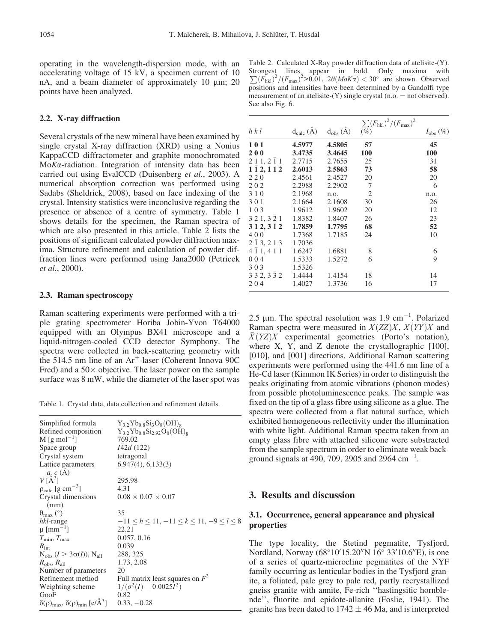operating in the wavelength-dispersion mode, with an accelerating voltage of 15 kV, a specimen current of 10 nA, and a beam diameter of approximately 10  $\mu$ m; 20 points have been analyzed.

## 2.2. X-ray diffraction

Several crystals of the new mineral have been examined by single crystal X-ray diffraction (XRD) using a Nonius KappaCCD diffractometer and graphite monochromated MoKa-radiation. Integration of intensity data has been carried out using EvalCCD (Duisenberg et al., 2003). A numerical absorption correction was performed using Sadabs (Sheldrick, 2008), based on face indexing of the crystal. Intensity statistics were inconclusive regarding the presence or absence of a centre of symmetry. Table 1 shows details for the specimen, the Raman spectra of which are also presented in this article. Table 2 lists the positions of significant calculated powder diffraction maxima. Structure refinement and calculation of powder diffraction lines were performed using Jana2000 (Petricek et al., 2000).

#### 2.3. Raman spectroscopy

Raman scattering experiments were performed with a triple grating spectrometer Horiba Jobin-Yvon T64000 equipped with an Olympus BX41 microscope and a liquid-nitrogen-cooled CCD detector Symphony. The spectra were collected in back-scattering geometry with the 514.5 nm line of an  $Ar^+$ -laser (Coherent Innova 90C Fred) and a  $50 \times$  objective. The laser power on the sample surface was 8 mW, while the diameter of the laser spot was

Table 1. Crystal data, data collection and refinement details.

| Simplified formula<br>Refined composition<br>M [g mol <sup>-1</sup> ]<br>Space group | $Y_{3,2}Yb_{0,8}Si_3O_8(OH)_8$<br>$Y_{3,2}Yb_{0,8}Si_{2,92}O_8(OH)_8$<br>769.02<br><i>IA2d</i> (122) |
|--------------------------------------------------------------------------------------|------------------------------------------------------------------------------------------------------|
| Crystal system                                                                       | tetragonal                                                                                           |
| Lattice parameters<br>a, c(A)                                                        | $6.947(4)$ , $6.133(3)$                                                                              |
| $V[\AA^3]$                                                                           | 295.98                                                                                               |
| $\rho_{calc}$ [g cm <sup>-3</sup> ]                                                  | 4.31                                                                                                 |
| Crystal dimensions                                                                   | $0.08 \times 0.07 \times 0.07$                                                                       |
| (mm)                                                                                 |                                                                                                      |
| $\theta_{\text{max}}$ (°)                                                            | 35                                                                                                   |
| hkl-range                                                                            | $-11 \le h \le 11, -11 \le k \le 11, -9 \le l \le 8$                                                 |
| $\mu$ [mm <sup>-1</sup> ]                                                            | 22.21                                                                                                |
| $T_{\rm min}, T_{\rm max}$                                                           | 0.057, 0.16                                                                                          |
| $R_{\text{int}}$                                                                     | 0.039                                                                                                |
| $N_{obs}$ $(I > 3\sigma(I)), N_{all}$                                                | 288, 325                                                                                             |
| $R_{\rm obs}, R_{\rm all}$                                                           | 1.73, 2.08                                                                                           |
| Number of parameters                                                                 | 20                                                                                                   |
| Refinement method                                                                    | Full matrix least squares on $F^2$                                                                   |
| Weighting scheme                                                                     | $1/(\sigma^2(I) + 0.0025I^2)$                                                                        |
| GooF                                                                                 | 0.82                                                                                                 |
| $\delta(\rho)_{\text{max}}, \delta(\rho)_{\text{min}}$ [e/Å <sup>3</sup> ]           | $0.33, -0.28$                                                                                        |

Table 2. Calculated X-Ray powder diffraction data of atelisite-(Y). Strongest lines appear in bold. Only maxima with  $\sum (F_{hkl})^2/(F_{max})^2$  > 0.01,  $2\theta(MoK\alpha) < 30^\circ$  are shown. Observed positions and intensities have been determined by a Gandolfi type measurement of an atelisite- $(Y)$  single crystal (n.o.  $=$  not observed). See also Fig. 6.

|                                      |                 |              | $\sum (F_{\text{hkl}})^2/(F_{\text{max}})^2$ |                      |
|--------------------------------------|-----------------|--------------|----------------------------------------------|----------------------|
| h k l                                | $d_{calc}(\AA)$ | $d_{obs}(A)$ | $(\%)$                                       | $I_{\text{obs}}(\%)$ |
| 101                                  | 4.5977          | 4.5805       | 57                                           | 45                   |
| <b>200</b>                           | 3.4735          | 3.4645       | 100                                          | 100                  |
| 2 1 1, 2 1 1                         | 2.7715          | 2.7655       | 25                                           | 31                   |
| $1\bar{1}$ 2, 1 1 2                  | 2.6013          | 2.5863       | 73                                           | 58                   |
| 220                                  | 2.4561          | 2.4527       | 20                                           | 20                   |
| 202                                  | 2.2988          | 2.2902       | -7                                           | 6                    |
| 3 1 0                                | 2.1968          | n.o.         | 2                                            | n.o.                 |
| 301                                  | 2.1664          | 2.1608       | 30                                           | 26                   |
| 103                                  | 1.9612          | 1.9602       | 20                                           | 12                   |
| $3\ 2\ 1, 3\ \overline{2}\ 1$ 1.8382 |                 | 1.8407       | 26                                           | 23                   |
| 312, 312                             | 1.7859          | 1.7795       | 68                                           | 52                   |
| 400                                  | 1.7368          | 1.7185       | 24                                           | 10                   |
| $2\bar{1}3, 213$ 1.7036              |                 |              |                                              |                      |
| $4\bar{1}1, 411$                     | 1.6247          | 1.6881       | 8                                            | 6                    |
| 004                                  | 1.5333          | 1.5272       | 6                                            | 9                    |
| 303                                  | 1.5326          |              |                                              |                      |
| 3 3 2, 3 $\bar{3}$ 2                 | 1.4444          | 1.4154       | 18                                           | 14                   |
| 204                                  | 1.4027          | 1.3736       | 16                                           | 17                   |

2.5  $\mu$ m. The spectral resolution was 1.9 cm<sup>-1</sup>. Polarized Raman spectra were measured in  $\overline{X}(ZZ)X$ ,  $\overline{X}(YY)X$  and  $\overline{X}(YZ)X$  experimental geometries (Porto's notation), where  $X$ ,  $Y$ , and  $Z$  denote the crystallographic  $[100]$ , [010], and [001] directions. Additional Raman scattering experiments were performed using the 441.6 nm line of a He-Cd laser (Kimmon IK Series) in order to distinguish the peaks originating from atomic vibrations (phonon modes) from possible photoluminescence peaks. The sample was fixed on the tip of a glass fibre using silicone as a glue. The spectra were collected from a flat natural surface, which exhibited homogeneous reflectivity under the illumination with white light. Additional Raman spectra taken from an empty glass fibre with attached silicone were substracted from the sample spectrum in order to eliminate weak background signals at 490, 709, 2905 and 2964  $\text{cm}^{-1}$ .

## 3. Results and discussion

### 3.1. Occurrence, general appearance and physical properties

The type locality, the Stetind pegmatite, Tysfjord, Nordland, Norway  $(68^{\circ}10'15.20''N 16^{\circ} 33'10.6''E)$ , is one of a series of quartz-microcline pegmatites of the NYF family occurring as lenticular bodies in the Tysfjord granite, a foliated, pale grey to pale red, partly recrystallized gneiss granite with annite, Fe-rich ''hastingsitic hornblende'', fluorite and epidote-allanite (Foslie, 1941). The granite has been dated to  $1742 \pm 46$  Ma, and is interpreted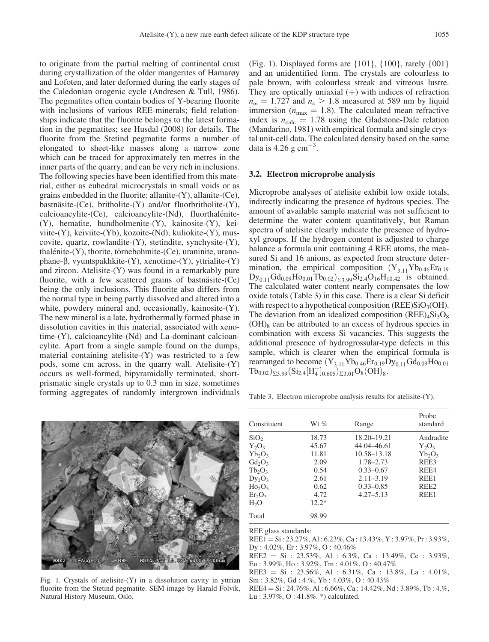to originate from the partial melting of continental crust during crystallization of the older mangerites of Hamarøy and Lofoten, and later deformed during the early stages of the Caledonian orogenic cycle (Andresen & Tull, 1986). The pegmatites often contain bodies of Y-bearing fluorite with inclusions of various REE-minerals; field relationships indicate that the fluorite belongs to the latest formation in the pegmatites; see Husdal (2008) for details. The fluorite from the Stetind pegmatite forms a number of elongated to sheet-like masses along a narrow zone which can be traced for approximately ten metres in the inner parts of the quarry, and can be very rich in inclusions. The following species have been identified from this material, either as euhedral microcrystals in small voids or as grains embedded in the fluorite: allanite-(Y), allanite-(Ce), bastnäsite-(Ce), britholite-(Y) and/or fluorbritholite-(Y), calcioancylite-(Ce), calcioancylite-(Nd), fluorthalénite-(Y), hematite, hundholmenite-(Y), kainosite-(Y), keiviite-(Y), keiviite-(Yb), kozoite-(Nd), kuliokite-(Y), muscovite, quartz, rowlandite-(Y), stetindite, synchysite-(Y),  $thalénite-(Y)$ , thorite, törnebohmite- $(Ce)$ , uraninite, uranophane-b, vyuntspakhkite-(Y), xenotime-(Y), yttrialite-(Y) and zircon. Atelisite-(Y) was found in a remarkably pure fluorite, with a few scattered grains of bastnäsite- $(Ce)$ being the only inclusions. This fluorite also differs from the normal type in being partly dissolved and altered into a white, powdery mineral and, occasionally, kainosite-(Y). The new mineral is a late, hydrothermally formed phase in dissolution cavities in this material, associated with xenotime-(Y), calcioancylite-(Nd) and La-dominant calcioancylite. Apart from a single sample found on the dumps, material containing atelisite-(Y) was restricted to a few pods, some cm across, in the quarry wall. Atelisite-(Y) occurs as well-formed, bipyramidally terminated, shortprismatic single crystals up to 0.3 mm in size, sometimes forming aggregates of randomly intergrown individuals



Fig. 1. Crystals of atelisite- $(Y)$  in a dissolution cavity in yttrian fluorite from the Stetind pegmatite. SEM image by Harald Folvik, Natural History Museum, Oslo.

(Fig. 1). Displayed forms are {101}, {100}, rarely {001} and an unidentified form. The crystals are colourless to pale brown, with colourless streak and vitreous lustre. They are optically uniaxial  $(+)$  with indices of refraction  $n_{\rm o} = 1.727$  and  $n_{\rm g} > 1.8$  measured at 589 nm by liquid immersion ( $n_{\text{max}} = 1.8$ ). The calculated mean refractive index is  $n_{\text{calc}} = 1.78$  using the Gladstone-Dale relation (Mandarino, 1981) with empirical formula and single crystal unit-cell data. The calculated density based on the same data is 4.26 g  $\text{cm}^{-3}$ .

## 3.2. Electron microprobe analysis

Microprobe analyses of atelisite exhibit low oxide totals, indirectly indicating the presence of hydrous species. The amount of available sample material was not sufficient to determine the water content quantitatively, but Raman spectra of atelisite clearly indicate the presence of hydroxyl groups. If the hydrogen content is adjusted to charge balance a formula unit containing 4 REE atoms, the measured Si and 16 anions, as expected from structure determination, the empirical composition  $(Y_{3,11}Yb_{0.46}Er_{0.19})$  $\text{Dy}_{0.11}\text{Gd}_{0.09}\text{Ho}_{0.01}\text{Tab}_{0.02}\big)_{\Sigma_3.99}\text{Si}_{2.4}\text{O}_{16}\text{H}_{10.42}$  is obtained. The calculated water content nearly compensates the low oxide totals (Table 3) in this case. There is a clear Si deficit with respect to a hypothetical composition (REE) $SiO<sub>3</sub>(OH)$ . The deviation from an idealized composition  $(REE)_4Si_3O_8$  $(OH)_{8}$  can be attributed to an excess of hydrous species in combination with excess Si vacancies. This suggests the additional presence of hydrogrossular-type defects in this sample, which is clearer when the empirical formula is rearranged to become  $(Y_{3,11}Yb_{0.46}Er_{0.19}Dy_{0.11}Gd_{0.09}Ho_{0.01}$  $Tb_{0.02}$ <sub>23.99</sub> $(Si_{2.4}[H_4^+]_{0.605})_{23.01}$  $O_8(OH)_8$ .

Table 3. Electron microprobe analysis results for atelisite-(Y).

| Constituent                                                                                                                    | Wt $%$                                                                     | Range                                                                                                                        | Probe<br>standard                                                                      |
|--------------------------------------------------------------------------------------------------------------------------------|----------------------------------------------------------------------------|------------------------------------------------------------------------------------------------------------------------------|----------------------------------------------------------------------------------------|
| SiO <sub>2</sub><br>$Y_2O_3$<br>$Yb_2O_3$<br>$Gd_2O_3$<br>$Tb_2O_3$<br>$Dy_2O_3$<br>$Ho_2O_3$<br>$Er_2O_3$<br>H <sub>2</sub> O | 18.73<br>45.67<br>11.81<br>2.09<br>0.54<br>2.61<br>0.62<br>4.72<br>$12.2*$ | 18.20-19.21<br>44.04 - 46.61<br>10.58–13.18<br>1.78-2.73<br>$0.33 - 0.67$<br>$2.11 - 3.19$<br>$0.33 - 0.85$<br>$4.27 - 5.13$ | Andradite<br>$Y_2O_3$<br>$Yb_2O_3$<br>REE3<br>REE4<br>REE1<br>REE <sub>2</sub><br>REE1 |
| Total                                                                                                                          | 98.99                                                                      |                                                                                                                              |                                                                                        |

REE glass standards:

 $REE1 = Si : 23.27\%, Al : 6.23\%, Ca : 13.43\%, Y : 3.97\%, Pr : 3.93\%,$ Dy : 4.02%, Er : 3.97%, O : 40.46%

REE2 = Si : 23.53%, Al : 6.3%, Ca : 13.49%, Ce : 3.93%, Eu : 3.99%, Ho : 3.92%, Tm : 4.01%, O : 40.47%

REE3 = Si : 23.56%, Al : 6.31%, Ca : 13.8%, La : 4.01%, Sm : 3.82%, Gd : 4.%, Yb : 4.03%, O : 40.43%

 $REE4 = Si : 24.76\%, Al : 6.66\%, Ca : 14.42\%, Nd : 3.89\%, Tb : 4.%$ Lu : 3.97%, O : 41.8%. \*) calculated.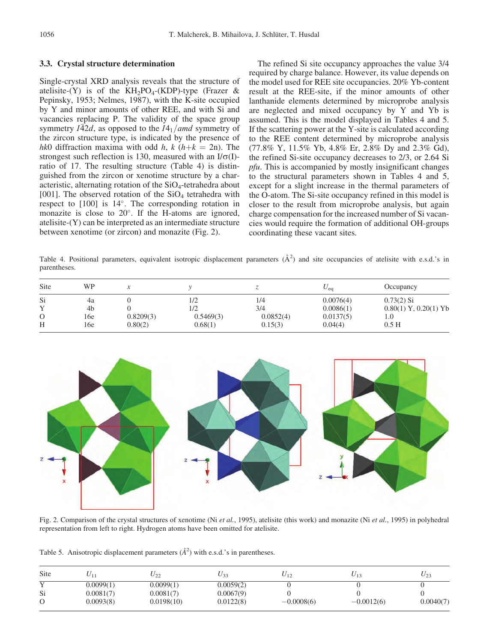#### 3.3. Crystal structure determination

Single-crystal XRD analysis reveals that the structure of atelisite-(Y) is of the KH<sub>2</sub>PO<sub>4</sub>-(KDP)-type (Frazer & Pepinsky, 1953; Nelmes, 1987), with the K-site occupied by Y and minor amounts of other REE, and with Si and vacancies replacing P. The validity of the space group symmetry  $I\bar{4}2d$ , as opposed to the  $I4_1$ /amd symmetry of the zircon structure type, is indicated by the presence of hk0 diffraction maxima with odd h, k (h+ $k = 2n$ ). The strongest such reflection is 130, measured with an  $I/\sigma(I)$ ratio of 17. The resulting structure (Table 4) is distinguished from the zircon or xenotime structure by a characteristic, alternating rotation of the  $SiO<sub>4</sub>$ -tetrahedra about [001]. The observed rotation of the  $SiO<sub>4</sub>$  tetrahedra with respect to  $[100]$  is  $14^{\circ}$ . The corresponding rotation in monazite is close to  $20^{\circ}$ . If the H-atoms are ignored, atelisite-(Y) can be interpreted as an intermediate structure between xenotime (or zircon) and monazite (Fig. 2).

The refined Si site occupancy approaches the value 3/4 required by charge balance. However, its value depends on the model used for REE site occupancies. 20% Yb-content result at the REE-site, if the minor amounts of other lanthanide elements determined by microprobe analysis are neglected and mixed occupancy by Y and Yb is assumed. This is the model displayed in Tables 4 and 5. If the scattering power at the Y-site is calculated according to the REE content determined by microprobe analysis (77.8% Y, 11.5% Yb, 4.8% Er, 2.8% Dy and 2.3% Gd), the refined Si-site occupancy decreases to 2/3, or 2.64 Si pfu. This is accompanied by mostly insignificant changes to the structural parameters shown in Tables 4 and 5, except for a slight increase in the thermal parameters of the O-atom. The Si-site occupancy refined in this model is closer to the result from microprobe analysis, but again charge compensation for the increased number of Si vacancies would require the formation of additional OH-groups coordinating these vacant sites.

Table 4. Positional parameters, equivalent isotropic displacement parameters  $(\AA^2)$  and site occupancies of atelisite with e.s.d.'s in parentheses.

| Site | WP  |           |           |           | $U_{eq}$  | Occupancy                 |
|------|-----|-----------|-----------|-----------|-----------|---------------------------|
| Si   | 4a  |           | 1/2       | 1/4       | 0.0076(4) | $0.73(2)$ Si              |
|      | 4b  |           | 1/2       | 3/4       | 0.0086(1) | $0.80(1)$ Y, $0.20(1)$ Yb |
|      | 16e | 0.8209(3) | 0.5469(3) | 0.0852(4) | 0.0137(5) | 1.0                       |
| H    | 16e | 0.80(2)   | 0.68(1)   | 0.15(3)   | 0.04(4)   | 0.5H                      |



Fig. 2. Comparison of the crystal structures of xenotime (Ni et al., 1995), atelisite (this work) and monazite (Ni et al., 1995) in polyhedral representation from left to right. Hydrogen atoms have been omitted for atelisite.

Table 5. Anisotropic displacement parameters  $(\AA^2)$  with e.s.d.'s in parentheses.

| Site |           | $U_{22}$   | U 33      |              | $U_{13}$     | $U_{23}$  |
|------|-----------|------------|-----------|--------------|--------------|-----------|
|      | 0.0099(1) | 0.0099(1)  | 0.0059(2) |              |              |           |
| Si   | 0.0081(7) | 0.0081(7)  | 0.0067(9) |              |              |           |
|      | 0.0093(8) | 0.0198(10) | 0.0122(8) | $-0.0008(6)$ | $-0.0012(6)$ | 0.0040(7) |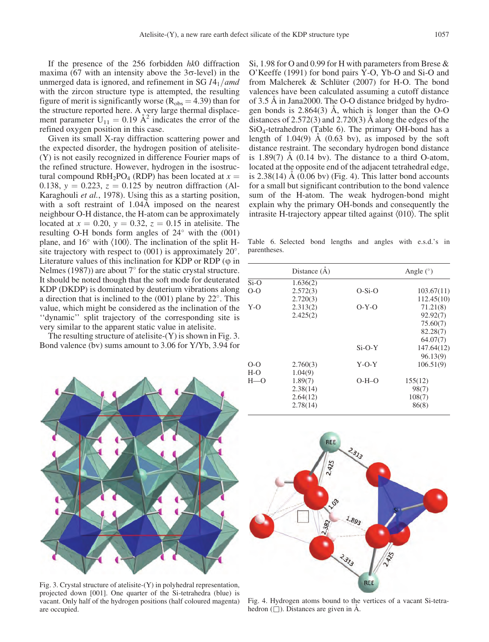If the presence of the 256 forbidden hk0 diffraction maxima (67 with an intensity above the  $3\sigma$ -level) in the unmerged data is ignored, and refinement in SG  $I4_1$  / amd with the zircon structure type is attempted, the resulting figure of merit is significantly worse ( $R_{obs} = 4.39$ ) than for the structure reported here. A very large thermal displacement parameter  $U_{11} = 0.19$   $\AA^2$  indicates the error of the refined oxygen position in this case.

Given its small X-ray diffraction scattering power and the expected disorder, the hydrogen position of atelisite- (Y) is not easily recognized in difference Fourier maps of the refined structure. However, hydrogen in the isostructural compound  $RbH_2PO_4$  (RDP) has been located at  $x =$ 0.138,  $y = 0.223$ ,  $z = 0.125$  by neutron diffraction (Al-Karaghouli et al., 1978). Using this as a starting position, with a soft restraint of 1.04Å imposed on the nearest neighbour O-H distance, the H-atom can be approximately located at  $x = 0.20$ ,  $y = 0.32$ ,  $z = 0.15$  in atelisite. The resulting O-H bonds form angles of  $24^{\circ}$  with the (001) plane, and  $16^{\circ}$  with  $\langle 100 \rangle$ . The inclination of the split Hsite trajectory with respect to  $(001)$  is approximately  $20^{\circ}$ . Literature values of this inclination for KDP or RDP  $(\varphi)$  in Nelmes (1987)) are about  $7^{\circ}$  for the static crystal structure. It should be noted though that the soft mode for deuterated KDP (DKDP) is dominated by deuterium vibrations along a direction that is inclined to the  $(001)$  plane by  $22^{\circ}$ . This value, which might be considered as the inclination of the ''dynamic'' split trajectory of the corresponding site is very similar to the apparent static value in atelisite.

The resulting structure of atelisite-(Y) is shown in Fig. 3. Bond valence (bv) sums amount to 3.06 for Y/Yb, 3.94 for

Si, 1.98 for O and 0.99 for H with parameters from Brese & O'Keeffe (1991) for bond pairs Y-O, Yb-O and Si-O and from Malcherek & Schlüter (2007) for H-O. The bond valences have been calculated assuming a cutoff distance of 3.5 Å in Jana2000. The O-O distance bridged by hydrogen bonds is  $2.864(3)$  Å, which is longer than the O-O distances of  $2.572(3)$  and  $2.720(3)$  Å along the edges of the SiO4-tetrahedron (Table 6). The primary OH-bond has a length of  $1.04(9)$  Å  $(0.63 \text{ bv})$ , as imposed by the soft distance restraint. The secondary hydrogen bond distance is  $1.89(7)$  Å  $(0.14 \text{ bv})$ . The distance to a third O-atom, located at the opposite end of the adjacent tetrahedral edge, is  $2.38(14)$  Å  $(0.06$  bv) (Fig. 4). This latter bond accounts for a small but significant contribution to the bond valence sum of the H-atom. The weak hydrogen-bond might explain why the primary OH-bonds and consequently the intrasite H-trajectory appear tilted against  $\langle 010 \rangle$ . The split

Table 6. Selected bond lengths and angles with e.s.d.'s in parentheses.

|                | Distance $(A)$      |          | Angle $(°)$ |
|----------------|---------------------|----------|-------------|
| $Si-O$         | 1.636(2)            |          |             |
| $O-O$          | 2.572(3)            | $O-Si-O$ | 103.67(11)  |
|                | 2.720(3)            |          | 112.45(10)  |
| $Y-O$          | 2.313(2)            | $O-Y-O$  | 71.21(8)    |
|                | 2.425(2)            |          | 92.92(7)    |
|                |                     |          | 75.60(7)    |
|                |                     |          | 82.28(7)    |
|                |                     |          | 64.07(7)    |
|                |                     | $Si-O-Y$ | 147.64(12)  |
|                |                     |          | 96.13(9)    |
| $O-O$<br>$H-O$ | 2.760(3)<br>1.04(9) | $Y-O-Y$  | 106.51(9)   |
| $H=0$          | 1.89(7)             | $O-H-O$  | 155(12)     |
|                | 2.38(14)            |          | 98(7)       |
|                | 2.64(12)            |          | 108(7)      |
|                | 2.78(14)            |          | 86(8)       |



Fig. 3. Crystal structure of atelisite-(Y) in polyhedral representation, projected down [001]. One quarter of the Si-tetrahedra (blue) is vacant. Only half of the hydrogen positions (half coloured magenta) are occupied.



Fig. 4. Hydrogen atoms bound to the vertices of a vacant Si-tetrahedron  $(\square)$ . Distances are given in A.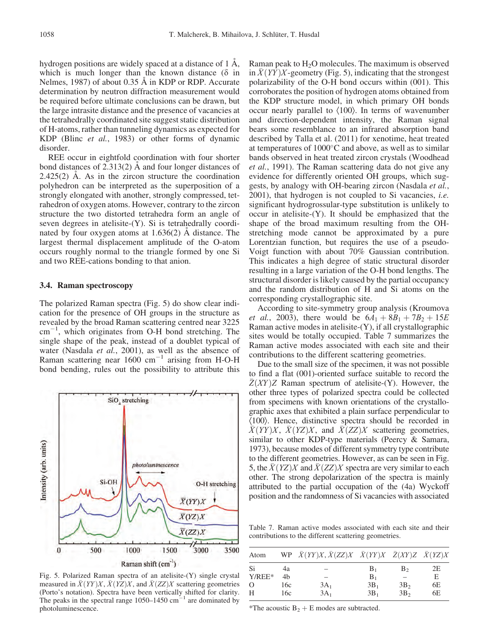hydrogen positions are widely spaced at a distance of  $1 \text{ Å}$ , which is much longer than the known distance  $(\delta$  in Nelmes, 1987) of about 0.35 Å in KDP or RDP. Accurate determination by neutron diffraction measurement would be required before ultimate conclusions can be drawn, but the large intrasite distance and the presence of vacancies at the tetrahedrally coordinated site suggest static distribution of H-atoms, rather than tunneling dynamics as expected for KDP (Blinc et al., 1983) or other forms of dynamic disorder.

REE occur in eightfold coordination with four shorter bond distances of  $2.313(2)$  Å and four longer distances of  $2.425(2)$  Å. As in the zircon structure the coordination polyhedron can be interpreted as the superposition of a strongly elongated with another, strongly compressed, tetrahedron of oxygen atoms. However, contrary to the zircon structure the two distorted tetrahedra form an angle of seven degrees in atelisite-(Y). Si is tetrahedrally coordinated by four oxygen atoms at  $1.636(2)$  A distance. The largest thermal displacement amplitude of the O-atom occurs roughly normal to the triangle formed by one Si and two REE-cations bonding to that anion.

#### 3.4. Raman spectroscopy

The polarized Raman spectra (Fig. 5) do show clear indication for the presence of OH groups in the structure as revealed by the broad Raman scattering centred near 3225 cm-1 , which originates from O-H bond stretching. The single shape of the peak, instead of a doublet typical of water (Nasdala et al., 2001), as well as the absence of Raman scattering near  $1600 \text{ cm}^{-1}$  arising from H-O-H bond bending, rules out the possibility to attribute this



Fig. 5. Polarized Raman spectra of an atelisite-(Y) single crystal measured in  $\bar{X}(YY)X, \bar{X}(YZ)X$ , and  $\bar{X}(ZZ)X$  scattering geometries (Porto's notation). Spectra have been vertically shifted for clarity. The peaks in the spectral range  $1050-1450$  cm<sup>-1</sup> are dominated by photoluminescence.

Raman peak to  $H<sub>2</sub>O$  molecules. The maximum is observed in  $\overline{X}(YY)X$ -geometry (Fig. 5), indicating that the strongest polarizability of the O-H bond occurs within (001). This corroborates the position of hydrogen atoms obtained from the KDP structure model, in which primary OH bonds occur nearly parallel to  $\langle 100 \rangle$ . In terms of wavenumber and direction-dependent intensity, the Raman signal bears some resemblance to an infrared absorption band described by Talla et al. (2011) for xenotime, heat treated at temperatures of  $1000^{\circ}$ C and above, as well as to similar bands observed in heat treated zircon crystals (Woodhead et al., 1991). The Raman scattering data do not give any evidence for differently oriented OH groups, which suggests, by analogy with OH-bearing zircon (Nasdala et al., 2001), that hydrogen is not coupled to Si vacancies, i.e. significant hydrogrossular-type substitution is unlikely to occur in atelisite-(Y). It should be emphasized that the shape of the broad maximum resulting from the OHstretching mode cannot be approximated by a pure Lorentzian function, but requires the use of a pseudo-Voigt function with about 70% Gaussian contribution. This indicates a high degree of static structural disorder resulting in a large variation of the O-H bond lengths. The structural disorder is likely caused by the partial occupancy and the random distribution of H and Si atoms on the corresponding crystallographic site.

According to site-symmetry group analysis (Kroumova *et al.*, 2003), there would be  $6A_1 + 8B_1 + 7B_2 + 15E$ Raman active modes in atelisite-(Y), if all crystallographic sites would be totally occupied. Table 7 summarizes the Raman active modes associated with each site and their contributions to the different scattering geometries.

Due to the small size of the specimen, it was not possible to find a flat (001)-oriented surface suitable to record the  $Z(XY)Z$  Raman spectrum of atelisite-(Y). However, the other three types of polarized spectra could be collected from specimens with known orientations of the crystallographic axes that exhibited a plain surface perpendicular to  $\langle 100 \rangle$ . Hence, distinctive spectra should be recorded in  $\overline{X}(YY)X$ ,  $\overline{X}(YZ)X$ , and  $\overline{X}(ZZ)X$  scattering geometries, similar to other KDP-type materials (Peercy & Samara, 1973), because modes of different symmetry type contribute to the different geometries. However, as can be seen in Fig. 5, the  $\bar{X}(YZ)X$  and  $\bar{X}(ZZ)X$  spectra are very similar to each other. The strong depolarization of the spectra is mainly attributed to the partial occupation of the (4a) Wyckoff position and the randomness of Si vacancies with associated

Table 7. Raman active modes associated with each site and their contributions to the different scattering geometries.

| Atom     |     | WP $\bar{X}(YY)X, \bar{X}(ZZ)X \quad \bar{X}(YY)X \quad \bar{Z}(XY)Z \quad \bar{X}(YZ)X$ |           |                 |    |
|----------|-----|------------------------------------------------------------------------------------------|-----------|-----------------|----|
| Si       | 4a  |                                                                                          | $B_1$     | B <sub>2</sub>  | 2Ε |
| $Y/REE*$ | 4h  |                                                                                          | $\rm B_1$ |                 | E  |
| $\Omega$ | 16c | $3A_1$                                                                                   | $3B_1$    | 3B <sub>2</sub> | 6E |
| H        | 16c | $3A_1$                                                                                   | $3B_1$    | 3B <sub>2</sub> | 6E |

\*The acoustic  $B_2 + E$  modes are subtracted.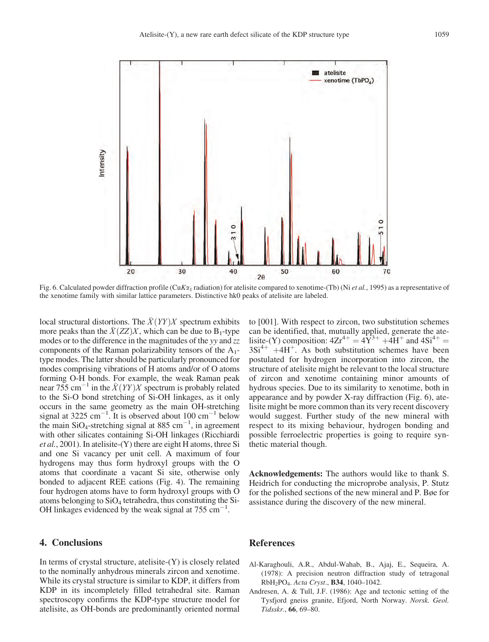

Fig. 6. Calculated powder diffraction profile (CuK $\alpha_1$  radiation) for atelisite compared to xenotime-(Tb) (Ni *et al.*, 1995) as a representative of the xenotime family with similar lattice parameters. Distinctive hk0 peaks of atelisite are labeled.

local structural distortions. The  $\overline{X}(YY)X$  spectrum exhibits more peaks than the  $\bar{X}(ZZ)X$ , which can be due to B<sub>1</sub>-type modes or to the difference in the magnitudes of the yy and zz components of the Raman polarizability tensors of the  $A_1$ type modes. The latter should be particularly pronounced for modes comprising vibrations of H atoms and/or of O atoms forming O-H bonds. For example, the weak Raman peak near 755 cm<sup>-1</sup> in the  $\bar{X}(YY)X$  spectrum is probably related to the Si-O bond stretching of Si-OH linkages, as it only occurs in the same geometry as the main OH-stretching signal at 3225 cm<sup>-1</sup>. It is observed about 100 cm<sup>-1</sup> below the main SiO<sub>4</sub>-stretching signal at 885 cm<sup>-1</sup>, in agreement with other silicates containing Si-OH linkages (Ricchiardi et al., 2001). In atelisite-(Y) there are eight H atoms, three Si and one Si vacancy per unit cell. A maximum of four hydrogens may thus form hydroxyl groups with the O atoms that coordinate a vacant Si site, otherwise only bonded to adjacent REE cations (Fig. 4). The remaining four hydrogen atoms have to form hydroxyl groups with O atoms belonging to  $SiO<sub>4</sub>$  tetrahedra, thus constituting the Si-OH linkages evidenced by the weak signal at  $755 \text{ cm}^{-1}$ .

#### 4. Conclusions

In terms of crystal structure, atelisite- $(Y)$  is closely related to the nominally anhydrous minerals zircon and xenotime. While its crystal structure is similar to KDP, it differs from KDP in its incompletely filled tetrahedral site. Raman spectroscopy confirms the KDP-type structure model for atelisite, as OH-bonds are predominantly oriented normal

to [001]. With respect to zircon, two substitution schemes can be identified, that, mutually applied, generate the atelisite-(Y) composition:  $4Zr^{4+} = 4Y^{3+} + 4H^+$  and  $4Si^{4+} =$  $3Si^{4+}$  +4H<sup>+</sup>. As both substitution schemes have been postulated for hydrogen incorporation into zircon, the structure of atelisite might be relevant to the local structure of zircon and xenotime containing minor amounts of hydrous species. Due to its similarity to xenotime, both in appearance and by powder X-ray diffraction (Fig. 6), atelisite might be more common than its very recent discovery would suggest. Further study of the new mineral with respect to its mixing behaviour, hydrogen bonding and possible ferroelectric properties is going to require synthetic material though.

Acknowledgements: The authors would like to thank S. Heidrich for conducting the microprobe analysis, P. Stutz for the polished sections of the new mineral and P. Bøe for assistance during the discovery of the new mineral.

#### References

- Al-Karaghouli, A.R., Abdul-Wahab, B., Ajaj, E., Sequeira, A. (1978): A precision neutron diffraction study of tetragonal RbH2PO4. Acta Cryst., B34, 1040–1042.
- Andresen, A. & Tull, J.F. (1986): Age and tectonic setting of the Tysfjord gneiss granite, Efjord, North Norway. Norsk. Geol. Tidsskr., 66, 69–80.